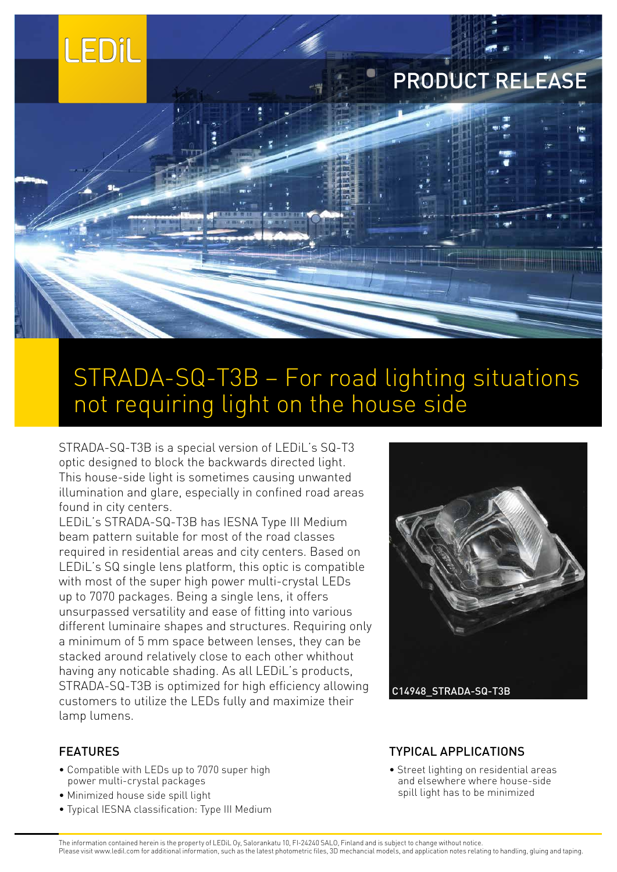

# PRODUCT RELEASE

## STRADA-SQ-T3B – For road lighting situations not requiring light on the house side

STRADA-SQ-T3B is a special version of LEDiL's SQ-T3 optic designed to block the backwards directed light. This house-side light is sometimes causing unwanted illumination and glare, especially in confined road areas found in city centers.

LEDiL's STRADA-SQ-T3B has IESNA Type III Medium beam pattern suitable for most of the road classes required in residential areas and city centers. Based on LEDiL's SQ single lens platform, this optic is compatible with most of the super high power multi-crystal LEDs up to 7070 packages. Being a single lens, it offers unsurpassed versatility and ease of fitting into various different luminaire shapes and structures. Requiring only a minimum of 5 mm space between lenses, they can be stacked around relatively close to each other whithout having any noticable shading. As all LEDiL's products, STRADA-SQ-T3B is optimized for high efficiency allowing customers to utilize the LEDs fully and maximize their lamp lumens.



- Compatible with LEDs up to 7070 super high power multi-crystal packages
- Minimized house side spill light
- Typical IESNA classification: Type III Medium



### TYPICAL APPLICATIONS

• Street lighting on residential areas and elsewhere where house-side spill light has to be minimized

The information contained herein is the property of LEDiL Oy, Salorankatu 10, FI-24240 SALO, Finland and is subject to change without notice. Please visit www.ledil.com for additional information, such as the latest photometric files, 3D mechancial models, and application notes relating to handling, gluing and taping.